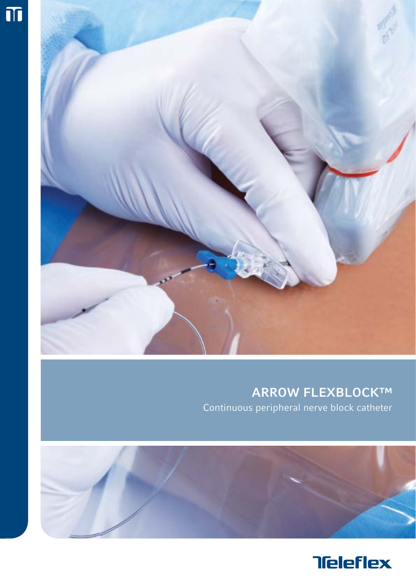



## ARROW FLEXBLOCK™ Continuous peripheral nerve block catheter



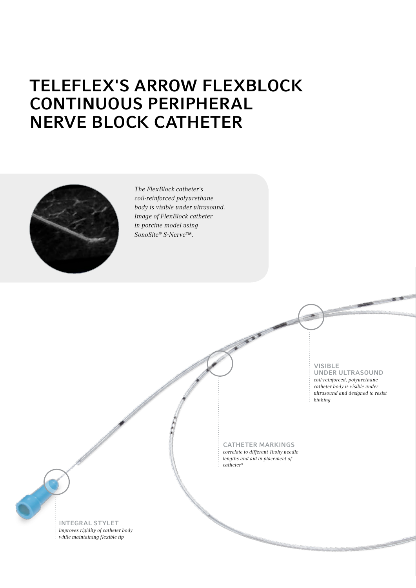# Teleflex'S Arrow FlexBlock CONTINUOUS PERIPHERAL Nerve Block Catheter



*The FlexBlock catheter's coil-reinforced polyurethane body is visible under ultrasound. Image of FlexBlock catheter in porcine model using SonoSite® S-Nerve™.*

visible

under ultrasound *coil-reinforced, polyurethane catheter body is visible under ultrasound and designed to resist kinking*

**CATHETER MARKINGS** *correlate to different Tuohy needle lengths and aid in placement of catheter\**

Ł

Integral Stylet *improves rigidity of catheter body while maintaining flexible tip*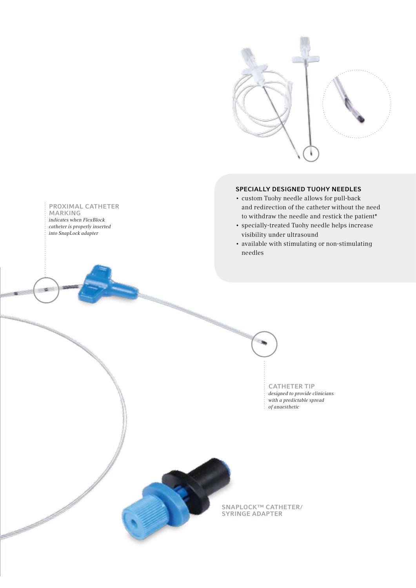

### Specially Designed Tuohy NEEDLES

- custom Tuohy needle allows for pull-back and redirection of the catheter without the need to withdraw the needle and restick the patient\*
- specially-treated Tuohy needle helps increase visibility under ultrasound
- available with stimulating or non-stimulating needles

CATHETER TIP *designed to provide clinicians with a predictable spread of anaesthetic*

SNAPLOCK™ CATHETER/ Syringe Adapter

#### Proximal catheter **MARKING**

*indicates when FlexBlock catheter is properly inserted into SnapLock adapter*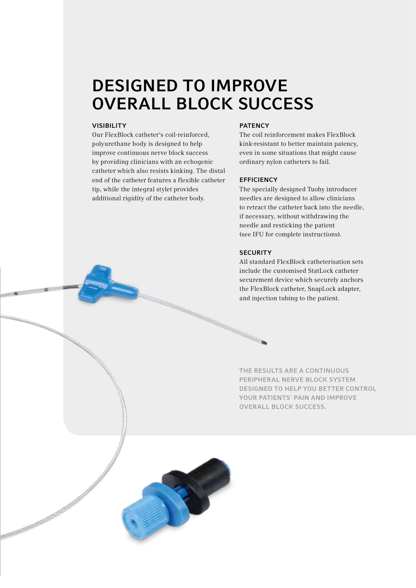## Designed to improve overall block success

#### **VISIBILITY**

Our FlexBlock catheter's coil-reinforced, polyurethane body is designed to help improve continuous nerve block success by providing clinicians with an echogenic catheter which also resists kinking. The distal end of the catheter features a flexible catheter tip, while the integral stylet provides additional rigidity of the catheter body.

#### **PATENCY**

The coil reinforcement makes FlexBlock kink-resistant to better maintain patency, even in some situations that might cause ordinary nylon catheters to fail.

### **EFFICIENCY**

The specially designed Tuohy introducer needles are designed to allow clinicians to retract the catheter back into the needle, if necessary, without withdrawing the needle and resticking the patient (see IFU for complete instructions).

#### **SECURITY**

All standard FlexBlock catheterisation sets include the customised StatLock catheter securement device which securely anchors the FlexBlock catheter, SnapLock adapter, and injection tubing to the patient.

THE RESULTS ARE A CONTINUOUS peripheral nerve block system designed to help you better control YOUR PATIENTS' PAIN AND IMPROVE overall block success.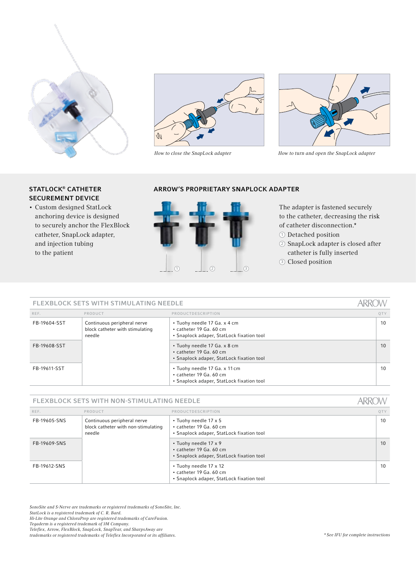

### STATLOCK<sup>®</sup> CATHETER Securement Device

• Custom designed StatLock anchoring device is designed to securely anchor the FlexBlock catheter, SnapLock adapter, and injection tubing to the patient





*How to close the SnapLock adapter How to turn and open the SnapLock adapter*

### ARROW's proprietary Snaplock adapter



The adapter is fastened securely to the catheter, decreasing the risk of catheter disconnection.\*

- <sup>1</sup> Detached position
- <sup>2</sup> SnapLock adapter is closed after catheter is fully inserted
- <sup>3</sup> Closed position

#### **ARROV** FLEXBLOCK SETS with stimulating needle ref. Product Productdescription QTy FB-19604-SST | Continuous peripheral nerve • Tuohy needle 17 Ga. x 4 cm 10 block catheter with stimulating • catheter 19 Ga. 60 cm needle • Snaplock adaper, StatLock fixation tool FB-19608-SST • Tuohy needle 17 Ga. x 8 cm 10 • catheter 19 Ga. 60 cm • Snaplock adaper, StatLock fixation tool FB-19611-SST • Tuohy needle 17 Ga. x 11cm 10 • catheter 19 Ga. 60 cm • Snaplock adaper, StatLock fixation tool

#### FLEXBLOCK SETS with non-stimulating needle

| REF.         | PRODUCT                                                                      | PRODUCTDESCRIPTION                                                                             | OTY |
|--------------|------------------------------------------------------------------------------|------------------------------------------------------------------------------------------------|-----|
| FB-19605-SNS | Continuous peripheral nerve<br>block catheter with non-stimulating<br>needle | • Tuohy needle 17 x 5<br>• catheter 19 Ga. 60 cm<br>• Snaplock adaper, StatLock fixation tool  | 10  |
| FB-19609-SNS |                                                                              | • Tuohy needle 17 x 9<br>• catheter 19 Ga. 60 cm<br>• Snaplock adaper, StatLock fixation tool  | 10  |
| FB-19612-SNS |                                                                              | • Tuohy needle 17 x 12<br>• catheter 19 Ga. 60 cm<br>• Snaplock adaper, StatLock fixation tool | 10  |

*SonoSite and S-Nerve are trademarks or registered trademarks of SonoSite, Inc.*

*StatLock is a registered trademark of C. R. Bard.*

*Hi-Lite Orange and ChloraPrep are registered trademarks of CareFusion.*

*Tegaderm is a registered trademark of 3M Company. Teleflex, Arrow, FlexBlock, SnapLock, SnapTear, and SharpsAway are* 

*trademarks or registered trademarks of Teleflex Incorporated or its affiliates. \* See IFU for complete instructions*

**ARROW**